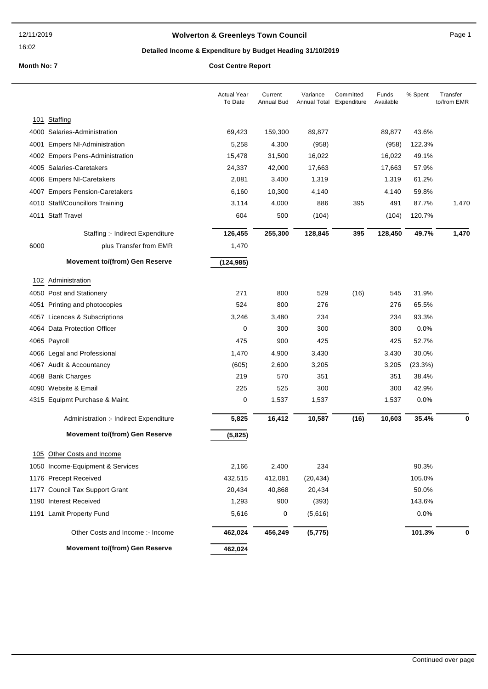### **Wolverton & Greenleys Town Council** Magnetic Page 1

### **Detailed Income & Expenditure by Budget Heading 31/10/2019**

|      |                                        | <b>Actual Year</b><br>To Date | Current<br>Annual Bud | Variance<br>Annual Total Expenditure | Committed | Funds<br>Available | % Spent | Transfer<br>to/from EMR |
|------|----------------------------------------|-------------------------------|-----------------------|--------------------------------------|-----------|--------------------|---------|-------------------------|
| 101  | Staffing                               |                               |                       |                                      |           |                    |         |                         |
|      | 4000 Salaries-Administration           | 69,423                        | 159,300               | 89,877                               |           | 89,877             | 43.6%   |                         |
| 4001 | <b>Empers NI-Administration</b>        | 5,258                         | 4,300                 | (958)                                |           | (958)              | 122.3%  |                         |
|      | 4002 Empers Pens-Administration        | 15,478                        | 31,500                | 16,022                               |           | 16,022             | 49.1%   |                         |
|      | 4005 Salaries-Caretakers               | 24,337                        | 42,000                | 17,663                               |           | 17,663             | 57.9%   |                         |
|      | 4006 Empers NI-Caretakers              | 2,081                         | 3,400                 | 1,319                                |           | 1,319              | 61.2%   |                         |
|      | 4007 Empers Pension-Caretakers         | 6,160                         | 10,300                | 4,140                                |           | 4,140              | 59.8%   |                         |
|      | 4010 Staff/Councillors Training        | 3,114                         | 4,000                 | 886                                  | 395       | 491                | 87.7%   | 1,470                   |
|      | 4011 Staff Travel                      | 604                           | 500                   | (104)                                |           | (104)              | 120.7%  |                         |
|      | Staffing :- Indirect Expenditure       | 126,455                       | 255,300               | 128,845                              | 395       | 128,450            | 49.7%   | 1,470                   |
| 6000 | plus Transfer from EMR                 | 1,470                         |                       |                                      |           |                    |         |                         |
|      | <b>Movement to/(from) Gen Reserve</b>  | (124, 985)                    |                       |                                      |           |                    |         |                         |
| 102  | Administration                         |                               |                       |                                      |           |                    |         |                         |
|      | 4050 Post and Stationery               | 271                           | 800                   | 529                                  | (16)      | 545                | 31.9%   |                         |
|      | 4051 Printing and photocopies          | 524                           | 800                   | 276                                  |           | 276                | 65.5%   |                         |
|      | 4057 Licences & Subscriptions          | 3,246                         | 3,480                 | 234                                  |           | 234                | 93.3%   |                         |
|      | 4064 Data Protection Officer           | 0                             | 300                   | 300                                  |           | 300                | 0.0%    |                         |
|      | 4065 Payroll                           | 475                           | 900                   | 425                                  |           | 425                | 52.7%   |                         |
|      | 4066 Legal and Professional            | 1,470                         | 4,900                 | 3,430                                |           | 3,430              | 30.0%   |                         |
|      | 4067 Audit & Accountancy               | (605)                         | 2,600                 | 3,205                                |           | 3,205              | (23.3%) |                         |
|      | 4068 Bank Charges                      | 219                           | 570                   | 351                                  |           | 351                | 38.4%   |                         |
|      | 4090 Website & Email                   | 225                           | 525                   | 300                                  |           | 300                | 42.9%   |                         |
|      | 4315 Equipmt Purchase & Maint.         | 0                             | 1,537                 | 1,537                                |           | 1,537              | 0.0%    |                         |
|      | Administration :- Indirect Expenditure | 5,825                         | 16,412                | 10,587                               | (16)      | 10,603             | 35.4%   | 0                       |
|      | <b>Movement to/(from) Gen Reserve</b>  | (5, 825)                      |                       |                                      |           |                    |         |                         |
|      | 105 Other Costs and Income             |                               |                       |                                      |           |                    |         |                         |
|      | 1050 Income-Equipment & Services       | 2,166                         | 2,400                 | 234                                  |           |                    | 90.3%   |                         |
|      | 1176 Precept Received                  | 432,515                       | 412,081               | (20, 434)                            |           |                    | 105.0%  |                         |
|      | 1177 Council Tax Support Grant         | 20,434                        | 40,868                | 20,434                               |           |                    | 50.0%   |                         |
|      | 1190 Interest Received                 | 1,293                         | 900                   | (393)                                |           |                    | 143.6%  |                         |
|      | 1191 Lamit Property Fund               | 5,616                         | 0                     | (5,616)                              |           |                    | 0.0%    |                         |
|      | Other Costs and Income :- Income       | 462,024                       | 456,249               | (5, 775)                             |           |                    | 101.3%  | 0                       |
|      | <b>Movement to/(from) Gen Reserve</b>  | 462,024                       |                       |                                      |           |                    |         |                         |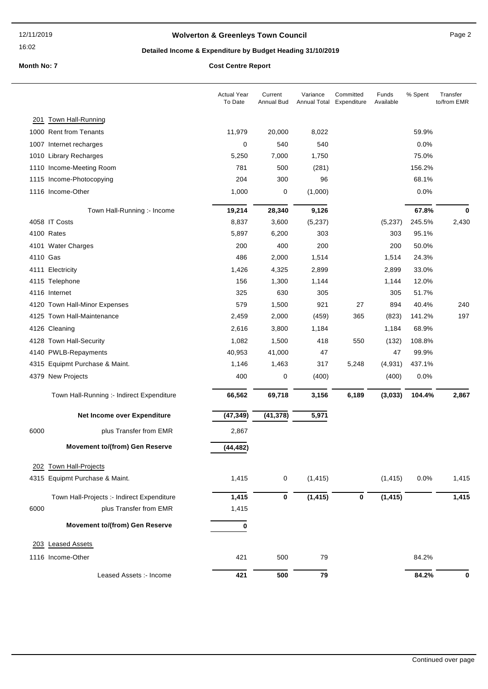### **Wolverton & Greenleys Town Council** Manual Page 2

### **Detailed Income & Expenditure by Budget Heading 31/10/2019**

|          |                                            | <b>Actual Year</b><br>To Date | Current<br>Annual Bud | Variance<br>Annual Total | Committed<br>Expenditure | Funds<br>Available | % Spent | Transfer<br>to/from EMR |
|----------|--------------------------------------------|-------------------------------|-----------------------|--------------------------|--------------------------|--------------------|---------|-------------------------|
|          | 201 Town Hall-Running                      |                               |                       |                          |                          |                    |         |                         |
|          | 1000 Rent from Tenants                     | 11,979                        | 20,000                | 8,022                    |                          |                    | 59.9%   |                         |
|          | 1007 Internet recharges                    | 0                             | 540                   | 540                      |                          |                    | 0.0%    |                         |
|          | 1010 Library Recharges                     | 5,250                         | 7,000                 | 1,750                    |                          |                    | 75.0%   |                         |
|          | 1110 Income-Meeting Room                   | 781                           | 500                   | (281)                    |                          |                    | 156.2%  |                         |
|          | 1115 Income-Photocopying                   | 204                           | 300                   | 96                       |                          |                    | 68.1%   |                         |
|          | 1116 Income-Other                          | 1,000                         | $\mathbf 0$           | (1,000)                  |                          |                    | 0.0%    |                         |
|          | Town Hall-Running :- Income                | 19,214                        | 28,340                | 9,126                    |                          |                    | 67.8%   | 0                       |
|          | 4058 IT Costs                              | 8,837                         | 3,600                 | (5,237)                  |                          | (5,237)            | 245.5%  | 2,430                   |
|          | 4100 Rates                                 | 5,897                         | 6,200                 | 303                      |                          | 303                | 95.1%   |                         |
|          | 4101 Water Charges                         | 200                           | 400                   | 200                      |                          | 200                | 50.0%   |                         |
| 4110 Gas |                                            | 486                           | 2,000                 | 1,514                    |                          | 1,514              | 24.3%   |                         |
|          | 4111 Electricity                           | 1,426                         | 4,325                 | 2,899                    |                          | 2,899              | 33.0%   |                         |
|          | 4115 Telephone                             | 156                           | 1,300                 | 1,144                    |                          | 1,144              | 12.0%   |                         |
|          | 4116 Internet                              | 325                           | 630                   | 305                      |                          | 305                | 51.7%   |                         |
|          | 4120 Town Hall-Minor Expenses              | 579                           | 1,500                 | 921                      | 27                       | 894                | 40.4%   | 240                     |
|          | 4125 Town Hall-Maintenance                 | 2,459                         | 2,000                 | (459)                    | 365                      | (823)              | 141.2%  | 197                     |
|          | 4126 Cleaning                              | 2,616                         | 3,800                 | 1,184                    |                          | 1,184              | 68.9%   |                         |
|          | 4128 Town Hall-Security                    | 1,082                         | 1,500                 | 418                      | 550                      | (132)              | 108.8%  |                         |
|          | 4140 PWLB-Repayments                       | 40,953                        | 41,000                | 47                       |                          | 47                 | 99.9%   |                         |
|          | 4315 Equipmt Purchase & Maint.             | 1,146                         | 1,463                 | 317                      | 5,248                    | (4,931)            | 437.1%  |                         |
|          | 4379 New Projects                          | 400                           | 0                     | (400)                    |                          | (400)              | 0.0%    |                         |
|          | Town Hall-Running :- Indirect Expenditure  | 66,562                        | 69,718                | 3,156                    | 6,189                    | (3,033)            | 104.4%  | 2,867                   |
|          | Net Income over Expenditure                | (47, 349)                     | (41, 378)             | 5,971                    |                          |                    |         |                         |
| 6000     | plus Transfer from EMR                     | 2,867                         |                       |                          |                          |                    |         |                         |
|          | <b>Movement to/(from) Gen Reserve</b>      | (44, 482)                     |                       |                          |                          |                    |         |                         |
|          | 202 Town Hall-Projects                     |                               |                       |                          |                          |                    |         |                         |
|          | 4315 Equipmt Purchase & Maint.             | 1,415                         | 0                     | (1, 415)                 |                          | (1, 415)           | 0.0%    | 1,415                   |
|          | Town Hall-Projects :- Indirect Expenditure | 1,415                         | 0                     | (1, 415)                 | 0                        | (1, 415)           |         | 1,415                   |
| 6000     | plus Transfer from EMR                     | 1,415                         |                       |                          |                          |                    |         |                         |
|          | Movement to/(from) Gen Reserve             | 0                             |                       |                          |                          |                    |         |                         |
|          |                                            |                               |                       |                          |                          |                    |         |                         |
|          | 203 Leased Assets                          |                               |                       |                          |                          |                    |         |                         |
|          | 1116 Income-Other                          | 421                           | 500                   | 79                       |                          |                    | 84.2%   |                         |
|          | Leased Assets :- Income                    | 421                           | 500                   | 79                       |                          |                    | 84.2%   | 0                       |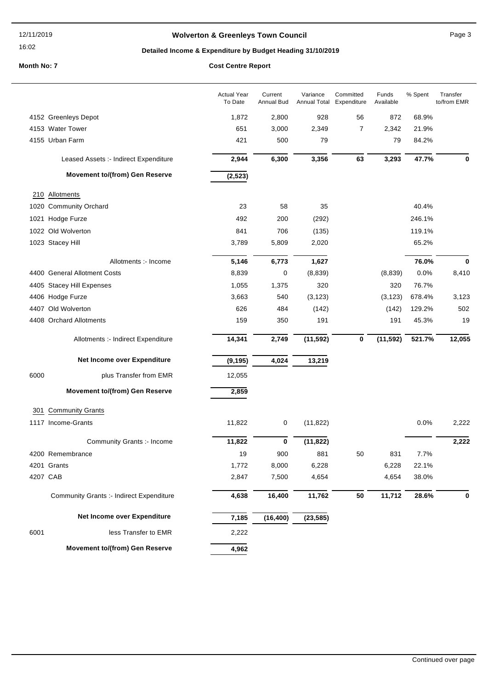### **Wolverton & Greenleys Town Council** Manual Page 3

### **Detailed Income & Expenditure by Budget Heading 31/10/2019**

|          |                                          | <b>Actual Year</b><br>To Date | Current<br><b>Annual Bud</b> | Variance<br><b>Annual Total</b> | Committed<br>Expenditure | Funds<br>Available | % Spent | Transfer<br>to/from EMR |
|----------|------------------------------------------|-------------------------------|------------------------------|---------------------------------|--------------------------|--------------------|---------|-------------------------|
|          | 4152 Greenleys Depot                     | 1,872                         | 2,800                        | 928                             | 56                       | 872                | 68.9%   |                         |
|          | 4153 Water Tower                         | 651                           | 3,000                        | 2,349                           | 7                        | 2,342              | 21.9%   |                         |
|          | 4155 Urban Farm                          | 421                           | 500                          | 79                              |                          | 79                 | 84.2%   |                         |
|          | Leased Assets :- Indirect Expenditure    | 2,944                         | 6,300                        | 3,356                           | 63                       | 3,293              | 47.7%   | 0                       |
|          | <b>Movement to/(from) Gen Reserve</b>    | (2, 523)                      |                              |                                 |                          |                    |         |                         |
|          | 210 Allotments                           |                               |                              |                                 |                          |                    |         |                         |
|          | 1020 Community Orchard                   | 23                            | 58                           | 35                              |                          |                    | 40.4%   |                         |
|          | 1021 Hodge Furze                         | 492                           | 200                          | (292)                           |                          |                    | 246.1%  |                         |
|          | 1022 Old Wolverton                       | 841                           | 706                          | (135)                           |                          |                    | 119.1%  |                         |
|          | 1023 Stacey Hill                         | 3,789                         | 5,809                        | 2,020                           |                          |                    | 65.2%   |                         |
|          | Allotments :- Income                     | 5,146                         | 6,773                        | 1,627                           |                          |                    | 76.0%   | 0                       |
|          | 4400 General Allotment Costs             | 8,839                         | 0                            | (8,839)                         |                          | (8,839)            | 0.0%    | 8,410                   |
|          | 4405 Stacey Hill Expenses                | 1,055                         | 1,375                        | 320                             |                          | 320                | 76.7%   |                         |
|          | 4406 Hodge Furze                         | 3,663                         | 540                          | (3, 123)                        |                          | (3, 123)           | 678.4%  | 3,123                   |
|          | 4407 Old Wolverton                       | 626                           | 484                          | (142)                           |                          | (142)              | 129.2%  | 502                     |
|          | 4408 Orchard Allotments                  | 159                           | 350                          | 191                             |                          | 191                | 45.3%   | 19                      |
|          | Allotments :- Indirect Expenditure       | 14,341                        | 2,749                        | (11, 592)                       | 0                        | (11, 592)          | 521.7%  | 12,055                  |
|          | Net Income over Expenditure              | (9, 195)                      | 4,024                        | 13,219                          |                          |                    |         |                         |
| 6000     | plus Transfer from EMR                   | 12,055                        |                              |                                 |                          |                    |         |                         |
|          | Movement to/(from) Gen Reserve           | 2,859                         |                              |                                 |                          |                    |         |                         |
| 301      | <b>Community Grants</b>                  |                               |                              |                                 |                          |                    |         |                         |
|          | 1117 Income-Grants                       | 11,822                        | 0                            | (11, 822)                       |                          |                    | 0.0%    | 2,222                   |
|          | Community Grants :- Income               | 11,822                        | 0                            | (11, 822)                       |                          |                    |         | 2,222                   |
|          | 4200 Remembrance                         | 19                            | 900                          | 881                             | 50                       | 831                | 7.7%    |                         |
|          | 4201 Grants                              | 1,772                         | 8,000                        | 6,228                           |                          | 6,228              | 22.1%   |                         |
| 4207 CAB |                                          | 2,847                         | 7,500                        | 4,654                           |                          | 4,654              | 38.0%   |                         |
|          | Community Grants :- Indirect Expenditure | 4,638                         | 16,400                       | 11,762                          | 50                       | 11,712             | 28.6%   | 0                       |
|          | Net Income over Expenditure              | 7,185                         | (16, 400)                    | (23, 585)                       |                          |                    |         |                         |
| 6001     | less Transfer to EMR                     | 2,222                         |                              |                                 |                          |                    |         |                         |
|          | Movement to/(from) Gen Reserve           | 4,962                         |                              |                                 |                          |                    |         |                         |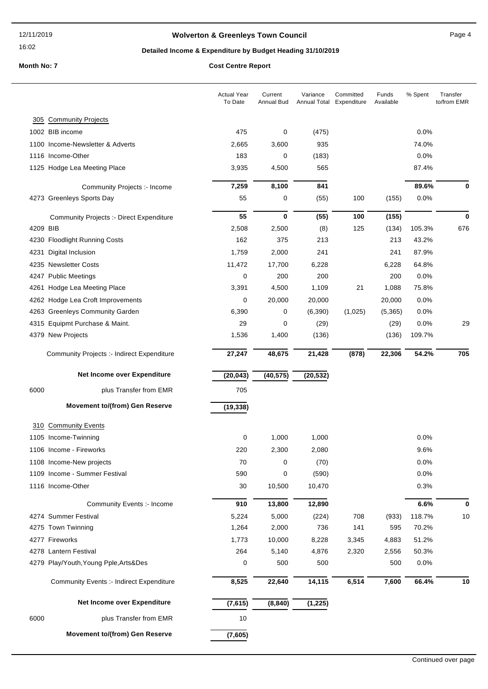### **Wolverton & Greenleys Town Council Contract Contract Contract Page 4**

### **Detailed Income & Expenditure by Budget Heading 31/10/2019**

|          |                                                                  | <b>Actual Year</b><br>To Date | Current<br><b>Annual Bud</b> | Variance<br>Annual Total Expenditure | Committed | Funds<br>Available | % Spent | Transfer<br>to/from EMR |
|----------|------------------------------------------------------------------|-------------------------------|------------------------------|--------------------------------------|-----------|--------------------|---------|-------------------------|
|          | 305 Community Projects                                           |                               |                              |                                      |           |                    |         |                         |
|          | 1002 BIB income                                                  | 475                           | 0                            | (475)                                |           |                    | 0.0%    |                         |
|          | 1100 Income-Newsletter & Adverts                                 | 2,665                         | 3,600                        | 935                                  |           |                    | 74.0%   |                         |
|          | 1116 Income-Other                                                | 183                           | 0                            | (183)                                |           |                    | 0.0%    |                         |
|          | 1125 Hodge Lea Meeting Place                                     | 3,935                         | 4,500                        | 565                                  |           |                    | 87.4%   |                         |
|          |                                                                  |                               |                              | 841                                  |           |                    | 89.6%   | 0                       |
|          | <b>Community Projects :- Income</b><br>4273 Greenleys Sports Day | 7,259<br>55                   | 8,100<br>0                   | (55)                                 | 100       | (155)              | 0.0%    |                         |
|          |                                                                  |                               |                              |                                      |           |                    |         |                         |
|          | <b>Community Projects :- Direct Expenditure</b>                  | 55                            | 0                            | (55)                                 | 100       | (155)              |         | $\bf{0}$                |
| 4209 BIB |                                                                  | 2,508                         | 2,500                        | (8)                                  | 125       | (134)              | 105.3%  | 676                     |
|          | 4230 Floodlight Running Costs                                    | 162                           | 375                          | 213                                  |           | 213                | 43.2%   |                         |
| 4231     | Digital Inclusion                                                | 1,759                         | 2,000                        | 241                                  |           | 241                | 87.9%   |                         |
|          | 4235 Newsletter Costs                                            | 11,472                        | 17,700                       | 6,228                                |           | 6,228              | 64.8%   |                         |
|          | 4247 Public Meetings                                             | 0                             | 200                          | 200                                  |           | 200                | 0.0%    |                         |
|          | 4261 Hodge Lea Meeting Place                                     | 3,391                         | 4,500                        | 1,109                                | 21        | 1,088              | 75.8%   |                         |
|          | 4262 Hodge Lea Croft Improvements                                | 0                             | 20,000                       | 20,000                               |           | 20,000             | 0.0%    |                         |
|          | 4263 Greenleys Community Garden                                  | 6,390                         | 0                            | (6, 390)                             | (1,025)   | (5,365)            | 0.0%    |                         |
|          | 4315 Equipmt Purchase & Maint.                                   | 29                            | 0                            | (29)                                 |           | (29)               | 0.0%    | 29                      |
|          | 4379 New Projects                                                | 1,536                         | 1,400                        | (136)                                |           | (136)              | 109.7%  |                         |
|          | Community Projects :- Indirect Expenditure                       | 27,247                        | 48,675                       | 21,428                               | (878)     | 22,306             | 54.2%   | 705                     |
|          | Net Income over Expenditure                                      | (20, 043)                     | (40, 575)                    | (20, 532)                            |           |                    |         |                         |
| 6000     | plus Transfer from EMR                                           | 705                           |                              |                                      |           |                    |         |                         |
|          | <b>Movement to/(from) Gen Reserve</b>                            | (19, 338)                     |                              |                                      |           |                    |         |                         |
| 310      | <b>Community Events</b>                                          |                               |                              |                                      |           |                    |         |                         |
|          |                                                                  |                               |                              |                                      |           |                    |         |                         |
|          | 1105 Income-Twinning                                             | 0                             | 1,000                        | 1,000                                |           |                    | 0.0%    |                         |
|          | 1106 Income - Fireworks                                          | 220                           | 2,300                        | 2,080                                |           |                    | 9.6%    |                         |
|          | 1108 Income-New projects                                         | 70                            | 0                            | (70)                                 |           |                    | 0.0%    |                         |
|          | 1109 Income - Summer Festival                                    | 590                           | 0                            | (590)                                |           |                    | 0.0%    |                         |
|          | 1116 Income-Other                                                | 30                            | 10,500                       | 10,470                               |           |                    | 0.3%    |                         |
|          | Community Events :- Income                                       | 910                           | 13,800                       | 12,890                               |           |                    | 6.6%    | $\mathbf 0$             |
|          | 4274 Summer Festival                                             | 5,224                         | 5,000                        | (224)                                | 708       | (933)              | 118.7%  | 10                      |
|          | 4275 Town Twinning                                               | 1,264                         | 2,000                        | 736                                  | 141       | 595                | 70.2%   |                         |
|          | 4277 Fireworks                                                   | 1,773                         | 10,000                       | 8,228                                | 3,345     | 4,883              | 51.2%   |                         |
|          | 4278 Lantern Festival                                            | 264                           | 5,140                        | 4,876                                | 2,320     | 2,556              | 50.3%   |                         |
|          | 4279 Play/Youth, Young Pple, Arts&Des                            | 0                             | 500                          | 500                                  |           | 500                | 0.0%    |                         |
|          | <b>Community Events :- Indirect Expenditure</b>                  | 8,525                         | 22,640                       | 14,115                               | 6,514     | 7,600              | 66.4%   | 10                      |
|          | Net Income over Expenditure                                      | (7, 615)                      | (8, 840)                     | (1, 225)                             |           |                    |         |                         |
| 6000     | plus Transfer from EMR                                           | 10                            |                              |                                      |           |                    |         |                         |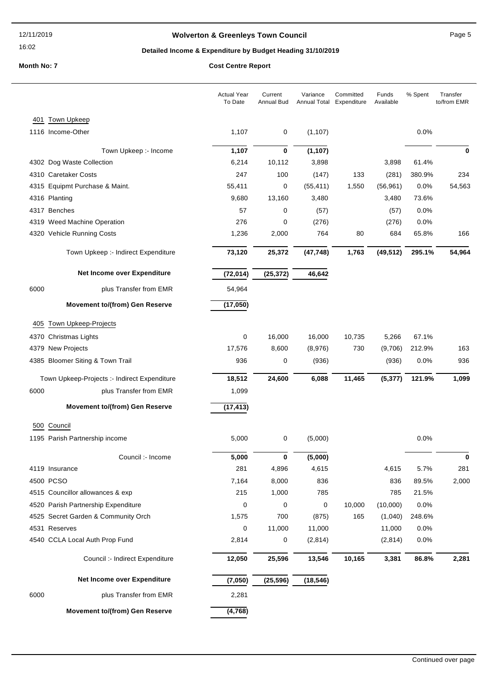### **Wolverton & Greenleys Town Council Page 5** Page 5

### **Detailed Income & Expenditure by Budget Heading 31/10/2019**

|      |                                              | <b>Actual Year</b><br>To Date | Current<br><b>Annual Bud</b> | Variance<br>Annual Total | Committed<br>Expenditure | Funds<br>Available | % Spent | Transfer<br>to/from EMR |
|------|----------------------------------------------|-------------------------------|------------------------------|--------------------------|--------------------------|--------------------|---------|-------------------------|
|      | 401 Town Upkeep                              |                               |                              |                          |                          |                    |         |                         |
|      | 1116 Income-Other                            | 1,107                         | 0                            | (1, 107)                 |                          |                    | 0.0%    |                         |
|      | Town Upkeep :- Income                        | 1,107                         | $\pmb{0}$                    | (1, 107)                 |                          |                    |         | 0                       |
|      | 4302 Dog Waste Collection                    | 6,214                         | 10,112                       | 3,898                    |                          | 3,898              | 61.4%   |                         |
|      | 4310 Caretaker Costs                         | 247                           | 100                          | (147)                    | 133                      | (281)              | 380.9%  | 234                     |
|      | 4315 Equipmt Purchase & Maint.               | 55,411                        | 0                            | (55, 411)                | 1,550                    | (56, 961)          | 0.0%    | 54,563                  |
|      | 4316 Planting                                | 9,680                         | 13,160                       | 3,480                    |                          | 3,480              | 73.6%   |                         |
|      | 4317 Benches                                 | 57                            | 0                            | (57)                     |                          | (57)               | 0.0%    |                         |
|      | 4319 Weed Machine Operation                  | 276                           | 0                            | (276)                    |                          | (276)              | 0.0%    |                         |
|      | 4320 Vehicle Running Costs                   | 1,236                         | 2,000                        | 764                      | 80                       | 684                | 65.8%   | 166                     |
|      | Town Upkeep :- Indirect Expenditure          | 73,120                        | 25,372                       | (47, 748)                | 1,763                    | (49, 512)          | 295.1%  | 54,964                  |
|      | Net Income over Expenditure                  | (72, 014)                     | (25, 372)                    | 46,642                   |                          |                    |         |                         |
| 6000 | plus Transfer from EMR                       | 54,964                        |                              |                          |                          |                    |         |                         |
|      | <b>Movement to/(from) Gen Reserve</b>        | (17,050)                      |                              |                          |                          |                    |         |                         |
| 405  | <b>Town Upkeep-Projects</b>                  |                               |                              |                          |                          |                    |         |                         |
|      | 4370 Christmas Lights                        | 0                             | 16,000                       | 16,000                   | 10,735                   | 5,266              | 67.1%   |                         |
|      | 4379 New Projects                            | 17,576                        | 8,600                        | (8,976)                  | 730                      | (9,706)            | 212.9%  | 163                     |
|      | 4385 Bloomer Siting & Town Trail             | 936                           | 0                            | (936)                    |                          | (936)              | 0.0%    | 936                     |
|      | Town Upkeep-Projects :- Indirect Expenditure | 18,512                        | 24,600                       | 6,088                    | 11,465                   | (5, 377)           | 121.9%  | 1,099                   |
| 6000 | plus Transfer from EMR                       | 1,099                         |                              |                          |                          |                    |         |                         |
|      | <b>Movement to/(from) Gen Reserve</b>        | (17, 413)                     |                              |                          |                          |                    |         |                         |
|      | 500 Council                                  |                               |                              |                          |                          |                    |         |                         |
|      | 1195 Parish Partnership income               | 5,000                         | 0                            | (5,000)                  |                          |                    | 0.0%    |                         |
|      | Council :- Income                            | 5,000                         | 0                            | (5,000)                  |                          |                    |         | U                       |
|      | 4119 Insurance                               | 281                           | 4,896                        | 4,615                    |                          | 4,615              | 5.7%    | 281                     |
|      | 4500 PCSO                                    | 7,164                         | 8,000                        | 836                      |                          | 836                | 89.5%   | 2,000                   |
|      | 4515 Councillor allowances & exp             | 215                           | 1,000                        | 785                      |                          | 785                | 21.5%   |                         |
|      | 4520 Parish Partnership Expenditure          | 0                             | 0                            | 0                        | 10,000                   | (10,000)           | 0.0%    |                         |
|      | 4525 Secret Garden & Community Orch          | 1,575                         | 700                          | (875)                    | 165                      | (1,040)            | 248.6%  |                         |
|      | 4531 Reserves                                | 0                             | 11,000                       | 11,000                   |                          | 11,000             | 0.0%    |                         |
|      | 4540 CCLA Local Auth Prop Fund               | 2,814                         | $\mathbf 0$                  | (2,814)                  |                          | (2,814)            | 0.0%    |                         |
|      | Council :- Indirect Expenditure              | 12,050                        | 25,596                       | 13,546                   | 10,165                   | 3,381              | 86.8%   | 2,281                   |
|      | Net Income over Expenditure                  | (7,050)                       | (25, 596)                    | (18, 546)                |                          |                    |         |                         |
| 6000 | plus Transfer from EMR                       | 2,281                         |                              |                          |                          |                    |         |                         |
|      | Movement to/(from) Gen Reserve               | (4, 768)                      |                              |                          |                          |                    |         |                         |